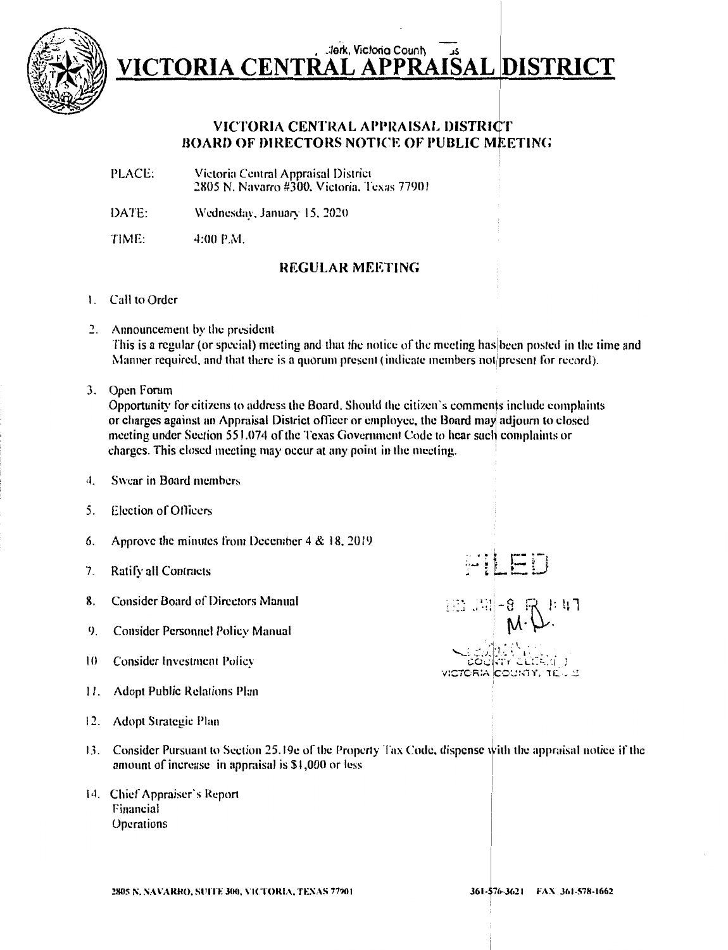

#### **Jerk, Victoria County** VICTORIA CENTRAL APPRAISAL DISTRICT

#### VICTORIA CENTRAL APPRAISAL DISTRICT **BOARD OF DIRECTORS NOTICE OF PUBLIC MEETING**

- PLACE: Victoria Central Appraisal District 2805 N. Navarro #300, Victoria, Texas 77901
- DATE: Wednesday, January 15, 2020
- TIME: 4:00 P.M.

#### **REGULAR MEETING**

- 1. Call to Order
- 2. Announcement by the president This is a regular (or special) meeting and that the notice of the meeting has been posted in the time and Manner required, and that there is a quorum present (indicate members not present for record).
- 3. Open Forum

Opportunity for citizens to address the Board. Should the citizen's comments include complaints or charges against an Appraisal District officer or employee, the Board may adjourn to closed meeting under Section 551.074 of the Texas Government Code to hear such complaints or charges. This closed meeting may occur at any point in the meeting.

- Swear in Board members 4.
- Election of Officers  $5.$
- Approve the minutes from December 4 & 18, 2019 6.
- $7<sub>1</sub>$ Ratify all Contracts
- **Consider Board of Directors Manual** 8.
- 9. **Consider Personnel Policy Manual**
- $10$ **Consider Investment Policy**
- 11. Adopt Public Relations Plan
- 12. Adopt Strategic Plan
- 13. Consider Pursuant to Section 25.19e of the Property Tax Code, dispense with the appraisal notice if the amount of increase in appraisal is \$1,000 or less
- 14. Chief Appraiser's Report Financial Operations

 $\mathbb{E}$  under

 $\mathfrak{F}$ r GLIS $\mathcal{A}$  ) VICTORIA COUNTY, TEU S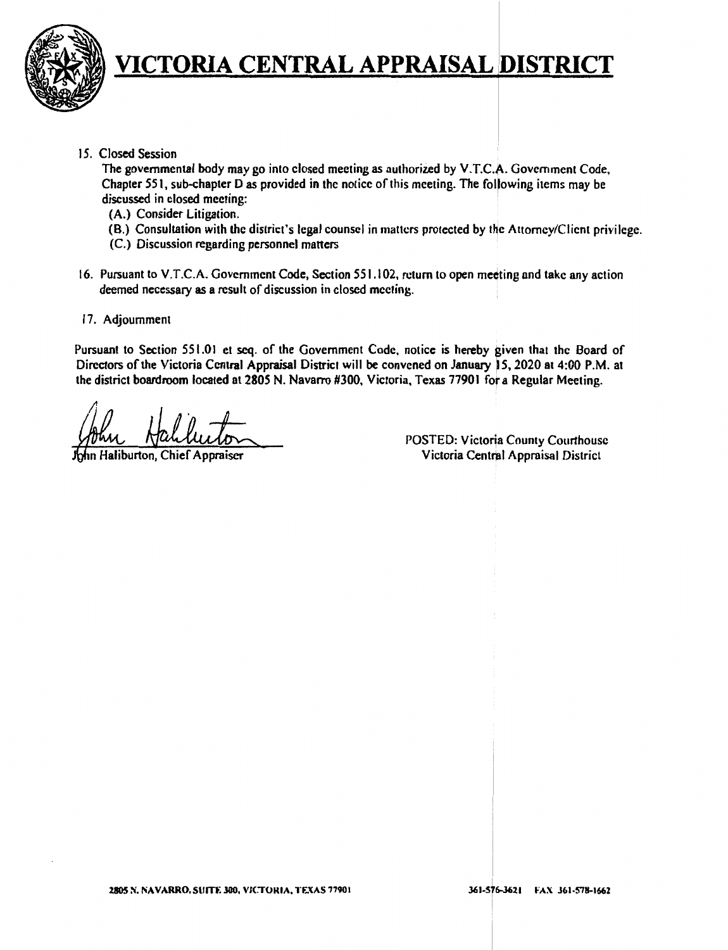

15. Closed Session

The governmental body may go into closed meeting as authorized by V.T.C.A. Government Code, Chapter 551, sub-chapter D as provided in the notice of this meeting. The folllowing items may be discussed in closed meeting:

- **(A.)** Consider Litigation.
- (8.) Consultation with the district's legal counsel in matters protected by the Attorney/Client privilege.
- (C.) Discussion regarding personnel matters
- 16. Pursuant to V.T.C.A. Government Code, Section 551.102, return to open meeting and take any action deemed necessary as a result of discussion in closed meeting.
- 17. Adjournment

Pursuant to Section 551.01 et seq. of the Government Code, notice is hereby given that the Board of Directors of the Victoria Central Appraisal District will be convened on January 15, 2020 at 4:00 P.M. at the district boardroom located at 2805 N. Navarro #300, Victoria, Texas 77901 for a Regular Meeting.

in Haliburton, Chief Appraiser

POSTED: Victoria County Courthouse Victoria Central Appraisal District

I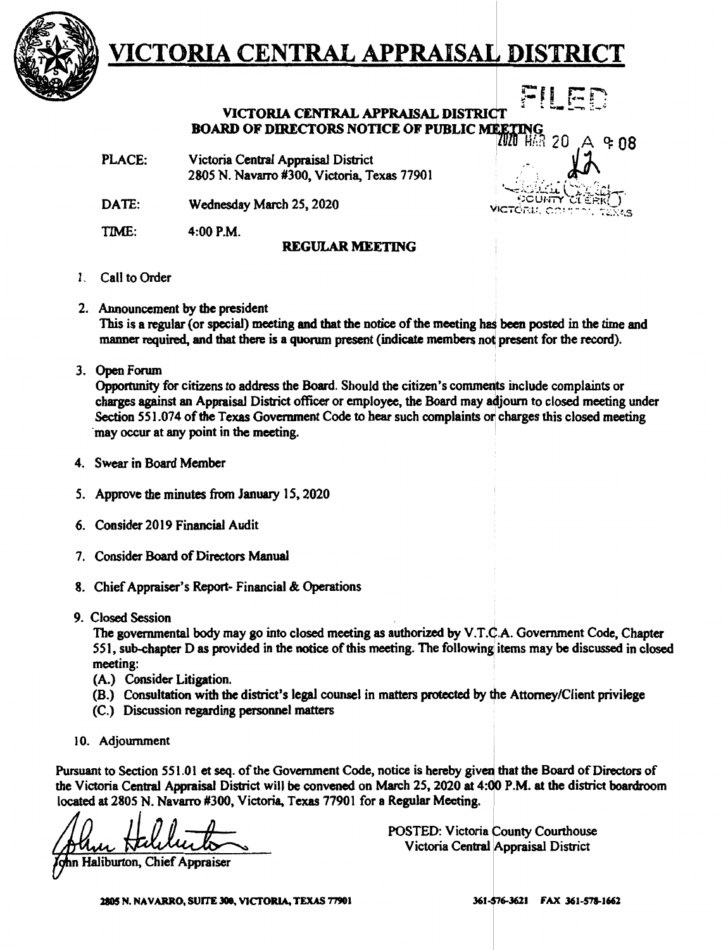

**VICTORIA CENTRAL APPRAISAL DISTRICT BOARD OF DIRECTORS NOTICE OF PUBLIC MEETING <b>board** of directors notice of public meeting 20

PLACE: Victoria Central Appraisal District 2805 N. Navarro #300, Victoria, Texas 77901

DATE: Wednesday March 25, 2020

TIME: 4:00P.M.

#### **REGULAR MEETING**

- 1. Call to Order
- 2. Announcement by the president

This is a regular (or special) meeting and that the notice of the meeting has been posted in the time and manner required, and that there is a quorum present (indicate members not present for the record).

3. Open Forum .

Opportunity for citizens to address the Board. Should the citizen's comments include complaints or charges against an Appraisal District officer or employee, the Board may adjourn to closed meeting under Section 551.074 of the Texas Government Code to hear such complaints or charges this closed meeting may occur at any point in the meeting.

- 4. Swear in Board Member
- *S.* Approve the minutes from January 15, 2020
- 6. Consider 2019 Financial Audit
- 7. Consider Board of Directors Manual
- 8. Chief Appraiser's Report- Financial & Operations
- 9. Closed Session

The governmental body may go into closed meeting as authorized by V.T.C.A. Government Code, Chapter 551, sub-chapter D as provided in the notice of this meeting. The following items may be discussed in closed meeting: the contract of the contract of the contract of the contract of the contract of the contract of the contract of the contract of the contract of the contract of the contract of the contract of the contract of the c

- **(A.)** Consider Litigation.
- (B.) Consultation with the district's legal counsel in matters protected by the Attorney/Client privilege
- (C.) Discussion regarding personnel matters
- 10. Adjournment

Pursuant to Section 551.01 et seq. of the Government Code, notice is hereby given that the Board of Directors of the Victoria Central Appraisal District will be convened on March 25, 2020 at 4:00 P.M. at the district boardroom located at 2805 N. Navarro #300, Victoria, Texas 77901 for a Regular Meeting. Section 551.01 et seq. of the Government Code,<br>Central Appraisal District will be convened on<br>05 N. Navarro #300, Victoria, Texas 77901 for<br>
Hellington, Chief Appraiser

POSTED: Victoria County Courthouse Victoria Central Appraisal District

n Haliburton, Chief Appraiser

 $4$  ዊ በጸ

 $\begin{picture}(180,10) \put(0,0){\line(1,0){155}} \put(10,0){\line(1,0){155}} \put(10,0){\line(1,0){155}} \put(10,0){\line(1,0){155}} \put(10,0){\line(1,0){155}} \put(10,0){\line(1,0){155}} \put(10,0){\line(1,0){155}} \put(10,0){\line(1,0){155}} \put(10,0){\line(1,0){155}} \put(10,0){\line(1,0){155}} \put(10,0){\line(1,0){155}}$ 

 $\mu$ CTC $\alpha$ i: .  $\alpha$ n  $\cdot$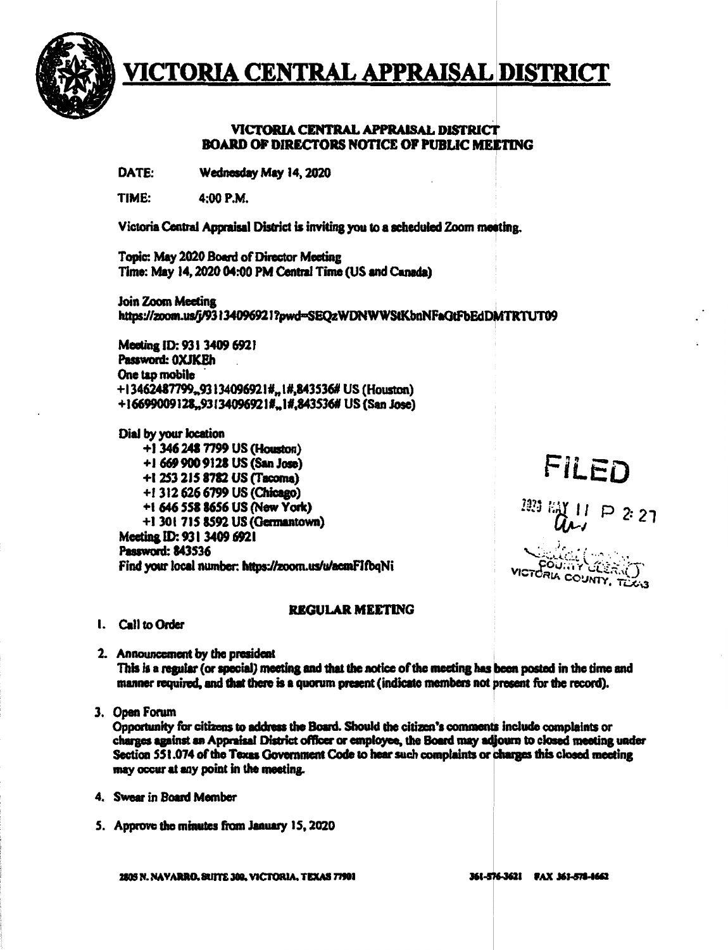

#### VICTORIA CENTRAL APPRAISAL DISTRICT **BOARD OF DIRECTORS NOTICE OF PUBLIC MELTING**

DATE: Wednesday May 14, 2020

TIME: 4:00 P.M.

Victoria Central Appraisal District is inviting you to a scheduled Zoom meeting.

Topic: May 2020 Board of Director Meeting Time: May 14, 2020 04:00 PM Central Time (US and Canada)

Join Zoom Meeting https://zoom.us/j/93134096921?pwd=SEQzWDNWWStKbnNFaGtFbEdDMTRTUT09

Meeting ID: 931 3409 6921 Password: 0XJKEh One tap mobile +13462487799.93134096921#.1#,843536# US (Houston) +16699009128.93134096921#.1#.843536# US (San Jose)

Dial by your location +1 346 248 7799 US (Houston) +1 669 900 9128 US (San Jose) +1 253 215 8782 US (Tacoma) +1 312 626 6799 US (Chicago) +1 646 558 8656 US (New York) +1 301 715 8592 US (Germantown) Meeting ID: 931 3409 6921 Password: 843536 Find your local number: https://zoom.us/u/acmFIfbqNi

## **FILED**

 $(11 P 22)$ 

FOURTY CORR VICTORIA COUNTY, TO

#### **REGULAR MEETING**

I. Call to Order

2. Announcement by the president This is a regular (or special) meeting and that the notice of the meeting has been posted in the time and manner required, and that there is a quorum present (indicate members not present for the record).

3. Open Forum

Opportunity for citizens to address the Board. Should the citizen's comments include complaints or charges against an Appraisal District officer or employee, the Board may adjourn to closed meeting under Section 551.074 of the Texas Government Code to hear such complaints or charges this closed meeting may occur at any point in the meeting.

- 4. Swear in Board Member
- 5. Approve the minutes from January 15, 2020

2805 N. NAVARRO, SUITE 300, VICTORIA, TEXAS 77901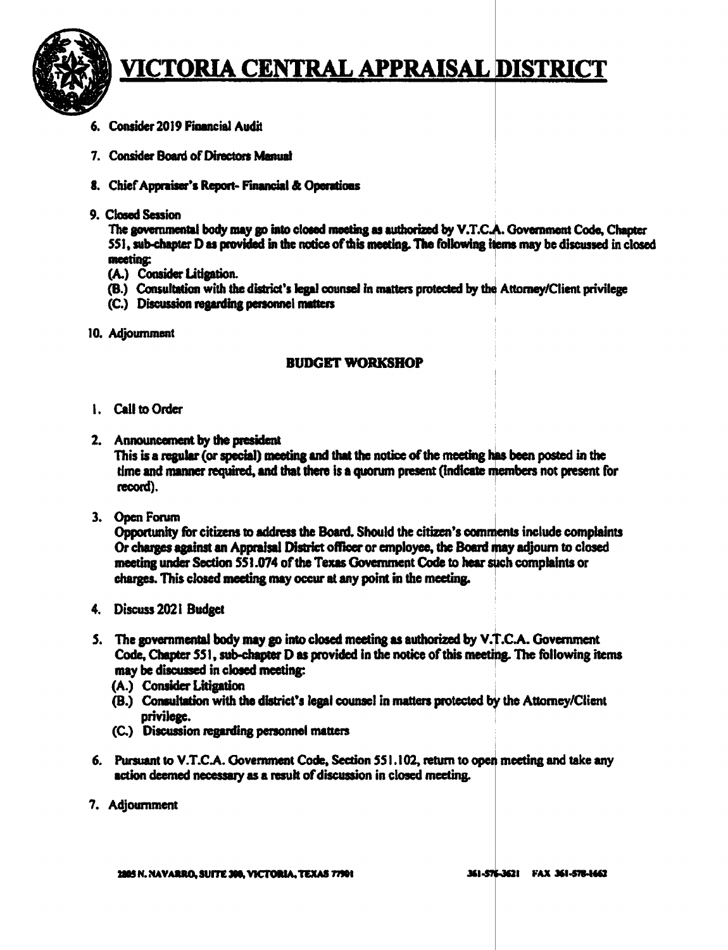

- 6. Consider 2019 Financial Audit
- 7. Consider Board of Directors Manual
- 8. Chief Appraiser's Report- Financial & Operations
- 9. Closed Session

The governmental body may go into closed meeting as authorized by V.T.C.A. Government Code, Chapter 551, sub-chapter D as provided in the notice of this meeting. The following items may be discussed in closed meeting:

- (A.) Consider Litigation.
- (B.) Consultation with the district's legal counsel in matters protected by the Attorney/Client privilege
- (C.) Discussion regarding personnel matters
- 10. Adjournment

#### **BUDGET WORKSHOP**

- 1. Call to Order
- 2. Announcement by the president This is a regular (or special) meeting and that the notice of the meeting has been posted in the time and manner required, and that there is a quorum present (indicate members not present for record).
- 3. Open Forum

Opportunity for citizens to address the Board. Should the citizen's comments include complaints Or charges against an Appraisal District officer or employee, the Board may adjourn to closed meeting under Section 551.074 of the Texas Government Code to hear such complaints or charges. This closed meeting may occur at any point in the meeting.

- 4. Discuss 2021 Budget
- 5. The governmental body may go into closed meeting as authorized by V.T.C.A. Government Code, Chapter 551, sub-chapter D as provided in the notice of this meeting. The following items may be discussed in closed meeting:
	- (A.) Consider Litigation
	- (B.) Consultation with the district's legal counsel in matters protected by the Attorney/Client privilege.
	- (C.) Discussion regarding personnel matters
- 6. Pursuant to V.T.C.A. Government Code, Section 551.102, return to open meeting and take any action deemed necessary as a result of discussion in closed meeting.
- 7. Adjournment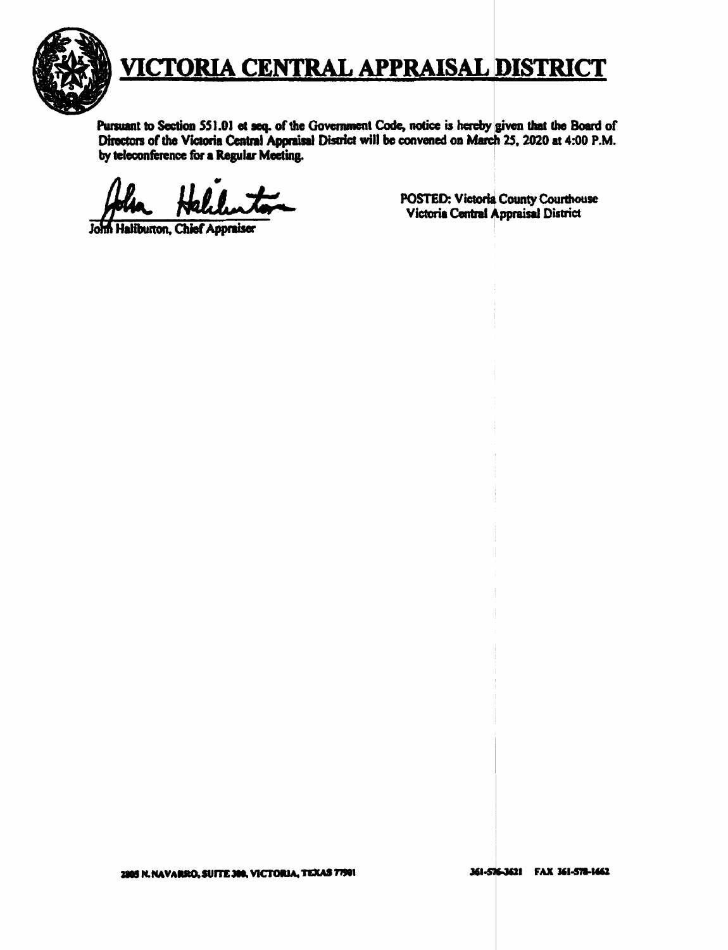

Pursuant to Section 551.01 et seq. of the Government Code, notice is hereby given that the Board of Directors of the Victoria Central Appraisal District will be convened on March 25, 2020 at 4:00 P.M. by teleconference for a Regular Meeting.

John Haliburton, Chief Appraiser

POSTED: Victoria County Courthouse Victoria Central Appraisal District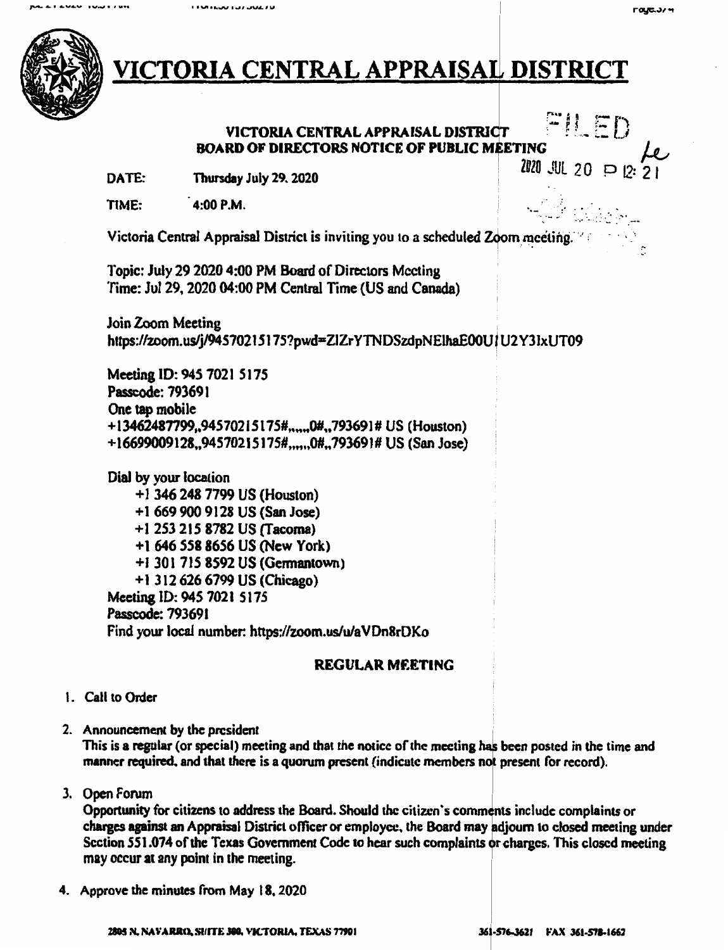I FUNTAURA TUZZULA



### VICTORIA CENTRAL APPRAISAL DISTRICT

#### $FILED$ VICTORIA CENTRAL APPRAISAL DISTRICT **BOARD** OF DIRECTORS NOTICE OF PUBLIC M ETING  $\mu$

**DATE:** Thursday July 29. 2020 **DATE:**  $\frac{10}{20}$  O p 12: 2 1

TIME: 4:00 P.M.  $\blacksquare$ 

Victoria Central Appraisal District is inviting you to a scheduled Zoom meeting. <sup>7</sup>

Topic: July 29 2020 4:00 PM Board of Directors Meeting Time: Jul 29, 2020 04:00 PM Central Time (US and Canada)

Join Zoom Meeting https://zoom.us/j/94570215175?pwd=ZIZrYTNDSzdpNElhaE00U1U2Y31xUT09

Meeting ID: *94S* 7021 Sl7S Passcode:793691 One tap mobile +l3462487799,.9457021Sl7S#,..,"0#,.79J69l# US (Houston) +l6699009128.,94S7021517S#,,.,.,0#.,793691# US (San Jose)

Dial by your location + l 346 248 7799 US (Houston) + 1 669 900 9128 US (San Jose) +l 253 215 8782 US (Tacoma) +1 646 *SS8* 8656 US (New York) +1 3017158592 US (Germantown) +l 3126266799US(Chicago) Meeting ID: 945 7021 5175 Passcode: 793691 Find your local number: https://zoom.us/u/a VDn8rDKo

#### **REGULAR MEETING**

- I. Call to Order
- 2. Announcement by the president .

This is a regular (or special) meeting and that the notice of the meeting has been posted in the time and manner required, and that there is a quorum present (indicate members not present for record).

3. Open Forum

Opportunity for citizens to address the Board. Should the citizen's comments include complaints or charges **against an** Appraisal District officer or employee. the Board may djoum to closed meeting under Section 551.074 of the Texas Government Code to hear such complaints or charges. This closed meeting may occur at any point in the meeting.

4. Approve the minutes from May 18. 2020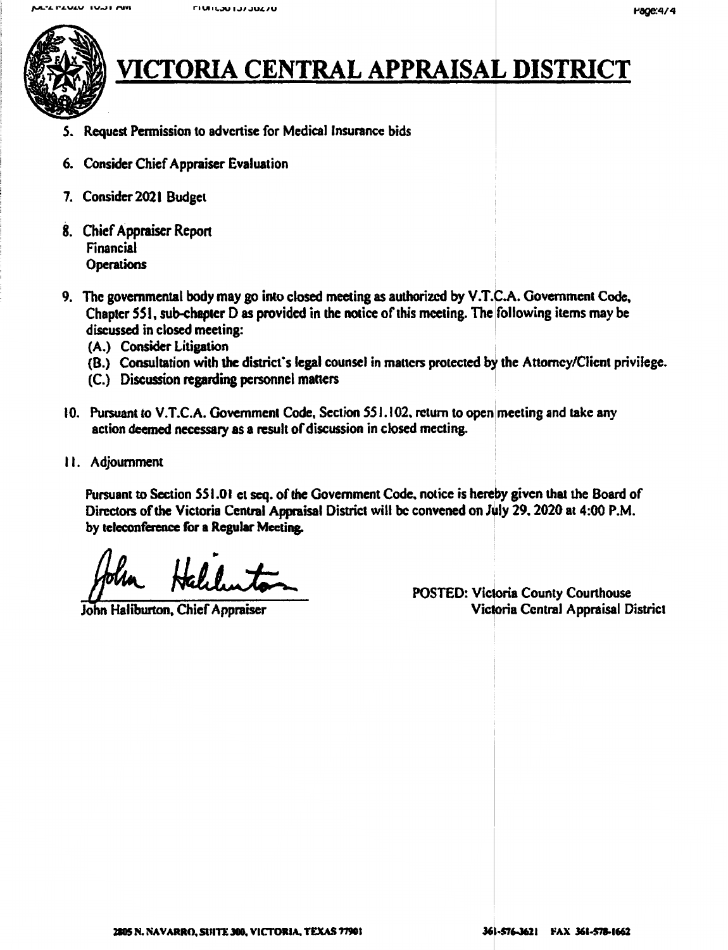

### <u>ICTORIA CENTRAL APPRAISAL DISTRICT</u>

- *5.* Request Permission to advertise for Medical Insurance bids
- 6. Consider Chief Appraiser Evaluation
- 7. Consider 2021 Budget
- 8. Chief Appraiser Report Financial **Operations**
- 9. The governmental body may go into closed meeting as authorized by V.T.C.A. Government Code, Chapter 551, sub-chapter D as provided in the notice of this meeting. The following items may be discussed in closed meeting:
	- (A.) Consider Litigation
	- (B.) Consultation with the district's legal counsel in matters protected by the Attorney/Client privilege.
	- (C.) Discussion regarding personnel matters
- 10. Pursuant to V.T.C.A. Government Code, Section 551.102, return to open meeting and take any action deemed necessary as a result of discussion in closed meeting.
- 11. Adjournment

Pursuant to Section 551.01 et seq. of the Government Code, notice is hereby given that the Board of POSTED: Victoria Central Appraisal District will be convened on July 29, 2020 at 4:00 P.M.<br>by teleconference for a Regular Meeting.<br>political Appraisal District will be convened on July 29, 2020 at 4:00 P.M.<br>POSTED: Victor by teleconference for a Regular Meeting.

John Haliburton, Chief Appraiser Victoria Central Appraisal District

i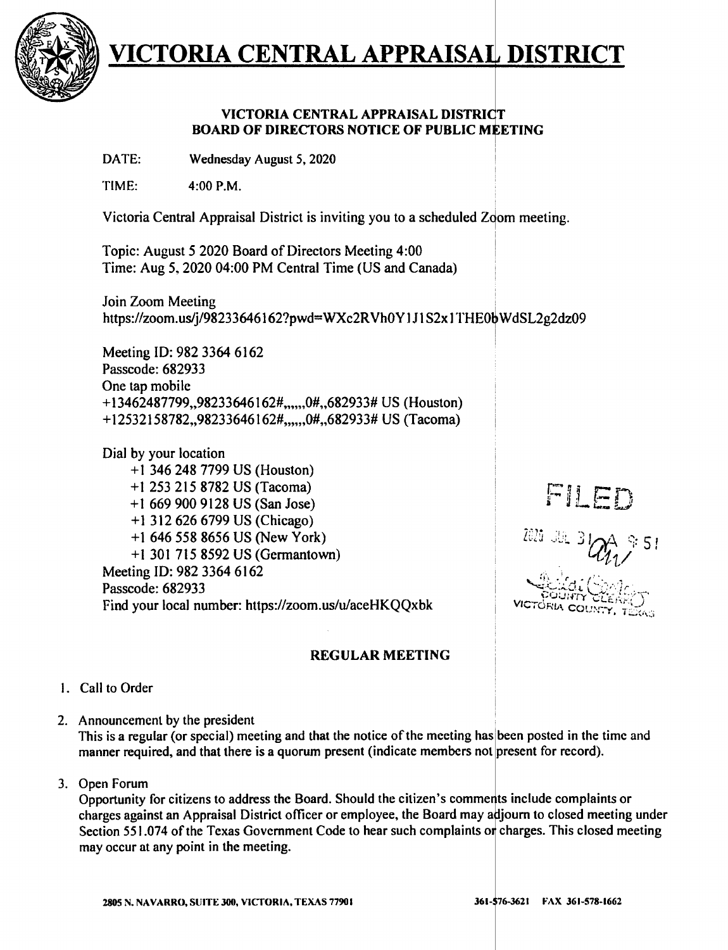

#### **VICTORIA CENTRAL APPRAISAL DISTRICT BOARD OF DIRECTORS NOTICE OF PUBLIC MEETING**

DATE: **Wednesday August** *5,* 2020

TIME: 4:00 **P.M.** 

Victoria Central Appraisal District is inviting you to a scheduled Zoom meeting.

Topic: August 5 2020 Board of Directors Meeting 4:00 Time: Aug 5, 2020 04:00 PM Central Time (US and Canada)

Join Zoom Meeting . https://zoom.us/j/98233646162?pwd=WXc2RVh0Y1J1S2x1THE0bWdSL2g2dz09

Meeting ID: 982 3364 6162 Passcode: 682933 One tap mobile + l 3462487799,,98233646162#,,,,,,0#,,682933# US (Houston) +12532158782,,98233646162#,,,,,,0#,,682933# US (Tacoma)

Dial by your location + 1 346 248 7799 US (Houston) + 1 253 215 8782 US (Tacoma) +l 669 900 9128 US (San Jose) +I 312 626 6799 US (Chicago) + 1 646 558 8656 US (New York) +1 301 715 8592 US (Germantown) Meeting ID: 982 3364 6162 Passcode: 682933 Find your local number: https://zoom.us/u/aceHKQQxbk

#### **REGULAR MEETING**

- 1. Call to Order
- 2. Announcement by the president

This is a regular (or special) meeting and that the notice of the meeting has'been posted in the time and manner required, and that there is a quorum present (indicate members not present for record).

3. Open Forum

Opportunity for citizens to address the Board. Should the citizen's comments include complaints or charges against an Appraisal District officer or employee, the Board may adjourn to closed meeting under Section 551.074 of the Texas Government Code to hear such complaints or charges. This closed meeting may occur at any point in the meeting.

### FILED

!

VICTORIA COUNT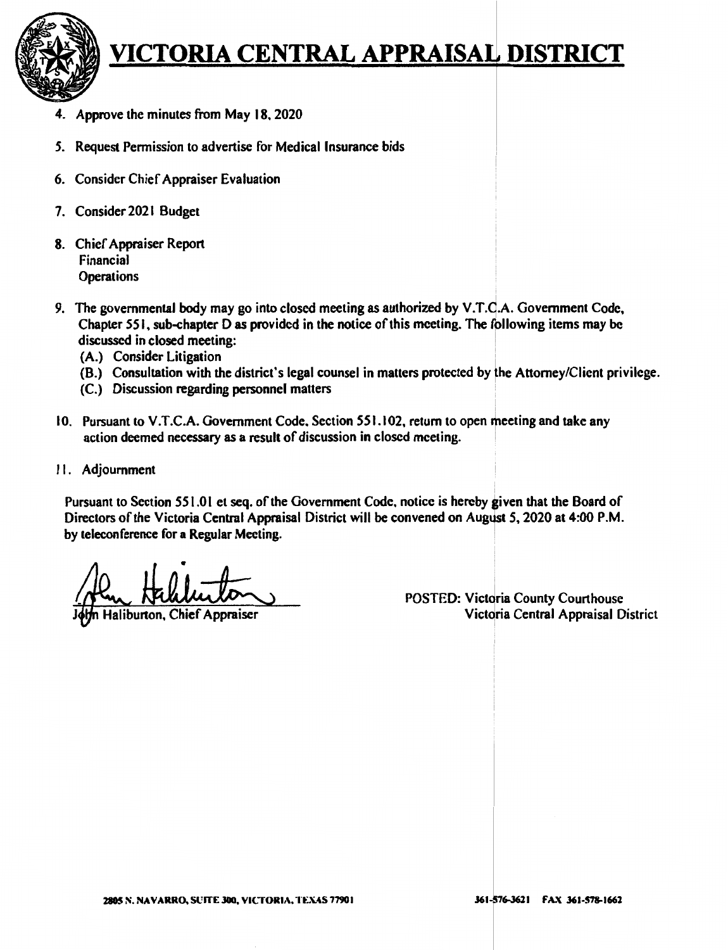

- 4. Approve the minutes from May 18. 2020
- *5.* Request Permission to advertise for Medical Insurance bids
- 6. Consider Chief Appraiser Evaluation
- 7. Consider 2021 Budget
- 8. Chief Appraiser Report Financial **Operations**
- 9. The governmental body may go into closed meeting as authorized by V.T.C.A. Government Code, Chapter 551, sub-chapter Das provided in the notice of this meeting. The fpllowing items may be discussed in closed meeting:
	- (A.) Consider Litigation
	- (8.) Consultation with the district's legal counsel in matters protected by the Attorney/Client privilege.
	- (C.) Discussion regarding personnel matters
- 10. Pursuant to V.T.C.A. Government Code, Section 551.102, return to open meeting and take any action deemed necessary as a result of discussion in closed meeting.
- 11. Adjournment

Pursuant to Section 551.01 et seq. of the Government Code, notice is hereby given that the Board of Directors of the Victoria Central Appraisal District will be convened on August 5, 2020 at 4:00 P.M. by teleconference for **a Regular** Meeting. :

Haliburton, Chief Appraiser

POSTED: Victoria County Courthouse Victoria Central Appraisal District

I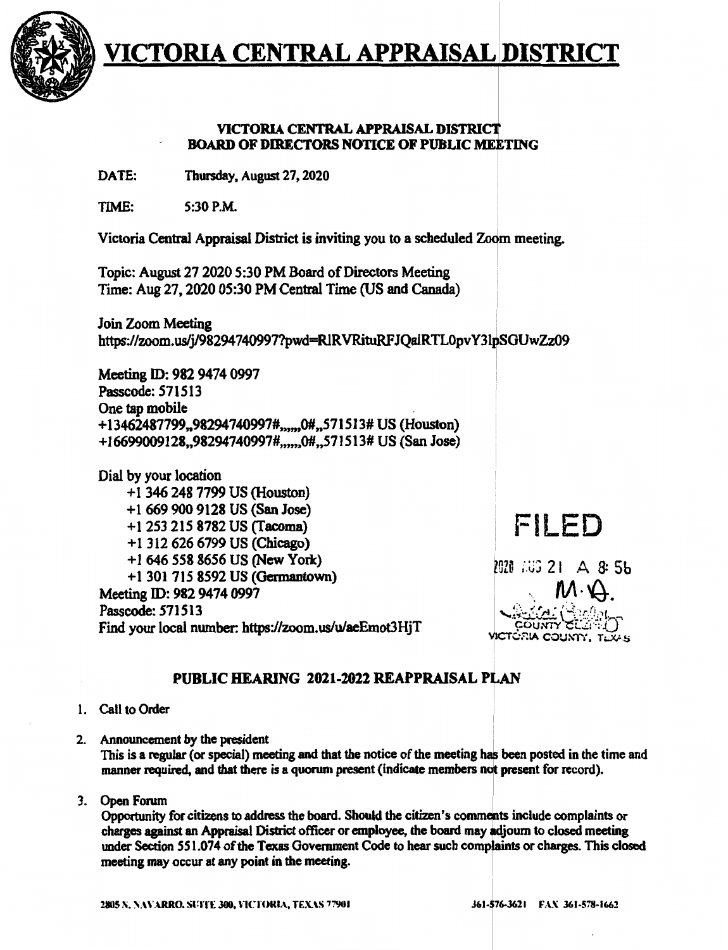

#### VICTORIA CENTRAL **APPRAISAL** DISTRI BOARD OF DIRECTORS NOTICE OF PUBLIC MEETING

DATE: Thursday, August 27, 2020

 $TIME:$   $5:30$  P.M.

Victoria Central Appraisal District is inviting you to a scheduled Zoom meeting.

Topic: August 27 2020 5:30 PM Board of Directors Meeting Time: Aug 27, 2020 05:30 PM Central Time (US and Canada)

Join Zoom Meeting ! https://zoom.us/j/98294740997?pwd=RIRVRituRFJQalRTL0pvY3lpSGUwZz09

Meeting ID: 982 9474 0997 Passcode:571513 One tap mobile +13462487799,,98294740997#,,,,,0#,,571513#US (Houston) +16699009128,,98294740997#,m,,0#,,571513# US (San Jose)

Dial by your location + 1 346 248 7799 US (Houston) + 1 669 900 9128 US (San Jose) +l 253 215 8782 US (Tacoma) +l 312 626 6799 US (Chicago) +l 646 558 8656 US (New York) +l 3017158592 US **(Gennantown)**  Meeting ID: 982 9474 0997 Passcode: 571513 Find your local number: https://zoom.us/u/aeEmot3HjT

### FILED

P920 AUG 21 A 8: 55

# **PUBLIC HEARING 2021-2022 REAPPRAISAL PLAN**<br>**PUBLIC HEARING 2021-2022 REAPPRAISAL PLAN**

- l. Call to Order
- 2. Announcement by the president

This is a regular (or special) meeting and that the notice of the meeting has been posted in the time and manner required, and that there is a quorum present (indicate members not present for record).

3. Open Forum

Opportunity for citizens to address the board. Should the citizen's comments include complaints or charges against an Appraisal District officer or employee, the board may adjourn to closed meeting under Section 551.074 of the Texas Government Code to hear such complaints or charges. This closed meeting may occur at any point in the meeting.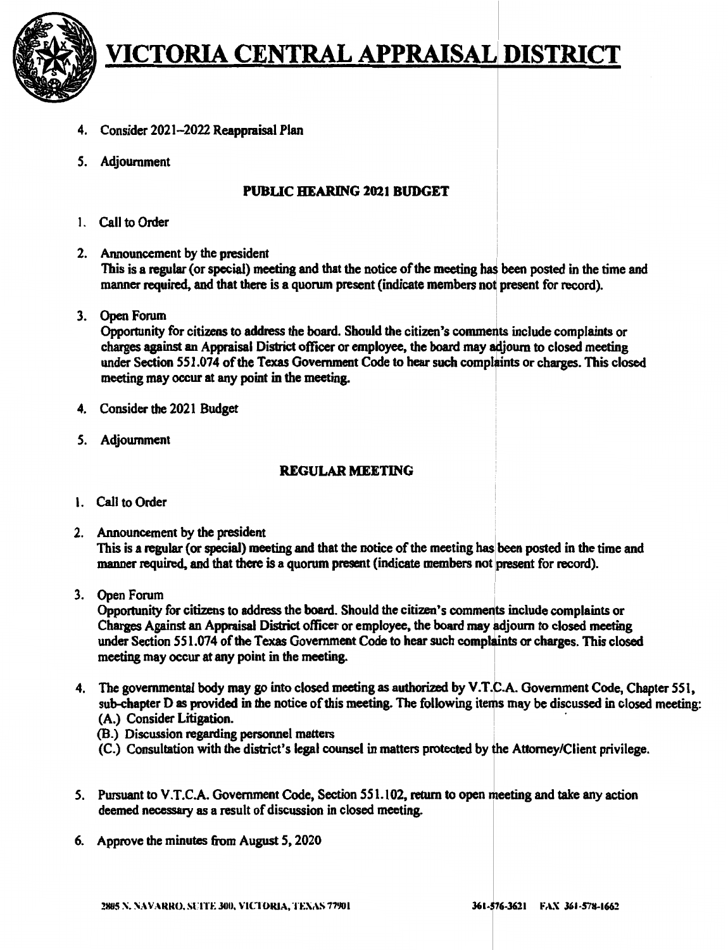

- 4. Consider 2021-2022 **Reappraisal** Plan
- *S.* Adjournment

#### **PUBLIC HEARING 2021 BUDGET**

- I. Call to Order
- 2. Announcement by the president

This is **a regular** ( or **special)** meeting and that the notice of **the meeting** ~ been posted in the time and manner required, and that there is a quorum present (indicate members not present for record).

3. Open Forum

Opportunity for citizens to address the board. Should the citizen's comments include complaints or charges **against an Appraisal** District officer or employee, **the board** may uoum to closed meeting under Section 551.074 of the Texas Government Code to hear such complaints or charges. This closed meeting may occur at any point in the meeting.

- 4. Consider the 2021 Budget
- *S.* Adjournment

#### **REGULAR MEETING**

- I. Call to Order
- 2. Announcement by the president This is a regular (or special) meeting and that the notice of the meeting has been posted in the time and manner required, and that there is a quorum present (indicate members not present for record).
- 3. Open Forum '

Opportunity for citizens to address the board. Should the citizen's comments include complaints or Charges Against an Appraisal District officer or employee, the board may adjourn to closed meeting under Section 551.074 of the Texas Government Code to hear such complaints or charges. This closed meeting may occur at any point in the meeting.

- 4. The governmental body may go into closed meeting as authorized by V.T.C.A. Government Code, Chapter 551, sub-chapter D as provided in the notice of this meeting. The following items may be discussed in closed meeting: (A.) Consider Litigation.
	- (B.) Discussion regarding personnel matters
	- (C.) Consultation with the district's legal counsel in matters protected by the Attorney/Client privilege.
- 5. Pursuant to V.T.C.A. Government Code, Section 551.102, return to open meeting and take any action deemed necessary as a result of discussion in closed meeting.
- 6. Approve the minutes from August 5, 2020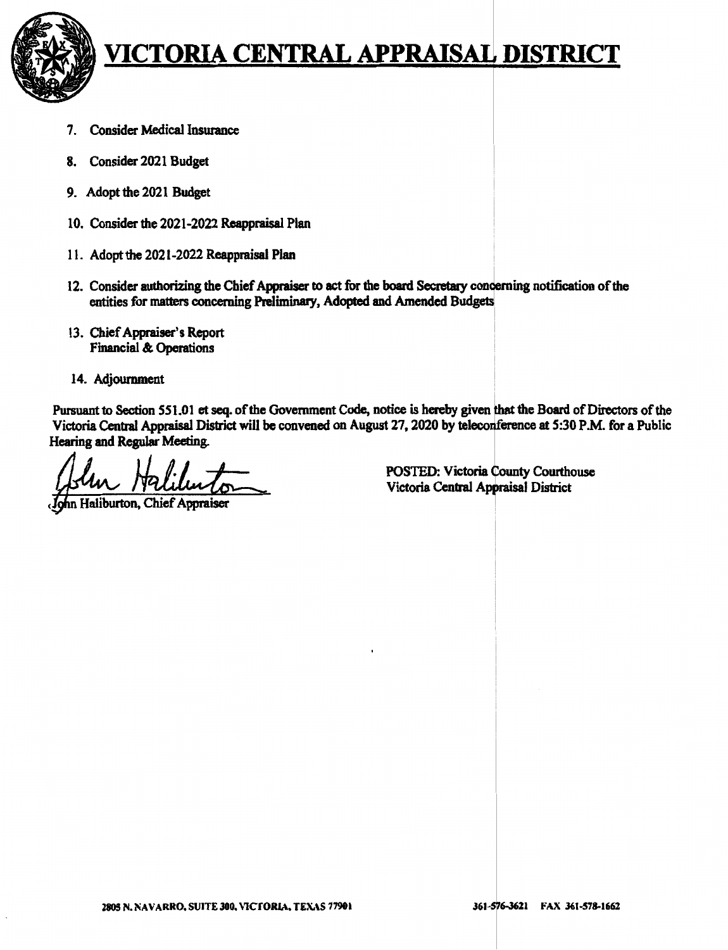

- 7. Consider Medical Insurance
- 8. Consider 2021 Budget
- 9. Adopt the 2021 Budget
- IO. Consider the 2021-2022 Reappraisal Plan
- 11. Adopt the 2021-2022 Reappraisal Plan
- 12. Consider authorizing the Chief Appraiser to act for the board Secretary concerning notification of the entities for matters concerning Preliminary, Adopted and Amended Budgets
- 13. Chief Appraiser's Report Financial & Operations
- 14. Adjournment

Pursuant to Section 551.01 et seq. of the Government Code, notice is hereby given that the Board of Directors of the Victoria Central Appraisal District will be convened on August 27, 2020 by teleconference at 5:30 P.M. for a Public Hearing and Regular Meeting.

in Haliburton, Chief Appraiser

POSTED: Victoria County Courthouse Victoria Central Appraisal District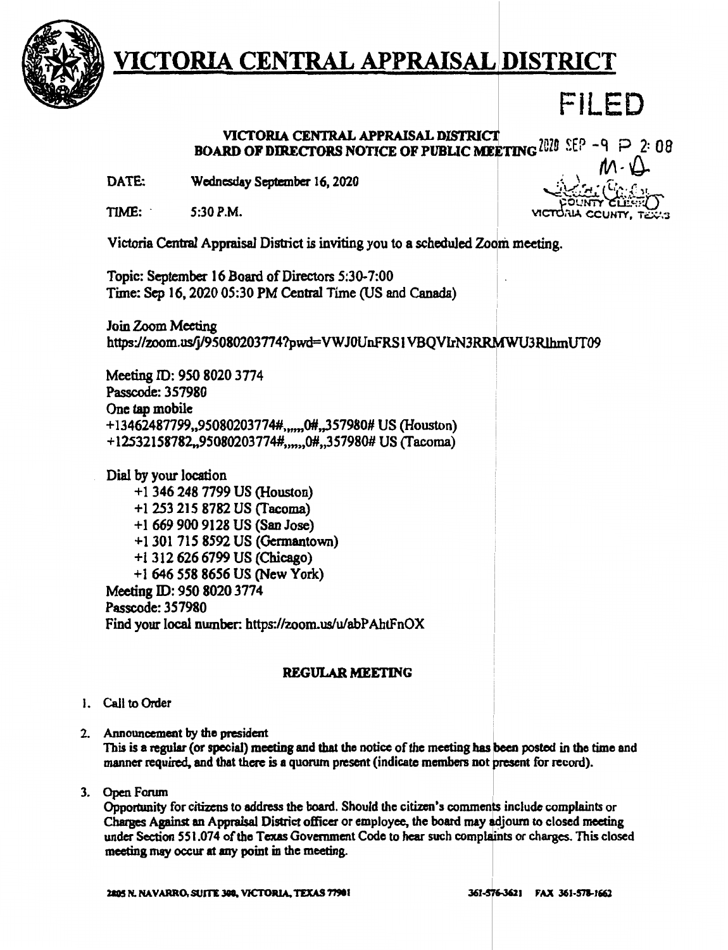

### FILED

### BOARD OF DIRECTORS NOTICE OF PUBLIC MEETING  $^{2020}$  SEP -q  $\rightarrow$  2: 08

**Wednesday September** 16, 2020 *:* \,.,, ,. • ~Lt". r- DATE:

 $TIME: 5:30 P.M.$   $VICTORA CCLNTY, TEX:3$ 

 $. \mathcal{M} \cdot \mathcal{Q}$ <sup>i</sup>"-d'--.:;...C!.i. . *,..'.:..;~*  POUNTY CLESTEL)

Victoria Central Appraisal District is inviting you to a scheduled Zoom meeting.

Topic: September 16 Board of Directors 5:30-7:00 Time: Sep 16, 2020 05:30 PM Central Time (US and Canada)

Join Zoom Meeting ! https://zoom.us/j/95080203774?pwd=VWJ0UnFRS I VBQVIrN3RRMWU3RlhmUT09

Meeting ID: 950 8020 3774 Passcode:357980 One tap mobile +13462487799,,95080203774#,,,,,,0#,,357980# US (Houston) +12532158782,,95080203774#,,,,,,0#,,357980# US (Tacoma)

Dial by your location + 1 346 248 7799 US (Houston) +1253 215 8782 US (facoma) +I 669 900 9128 US (San Jose) +1301 715 8592 US (Germantown) +1312 626 6799 US (Chicago) + 1 646 558 8656 US (New York) Meeting ID: *9SO* 8020 3774 Passcode: 357980 Find your local nwnber: https://zoom.us/u/abPAhtFnOX

#### **REGULAR MEETING**

- J. Call to Order
- 2. Announcement by the president

This is a regular (or special) meeting and that the notice of the meeting has been posted in the time and manner required, and that there is a quorum present (indicate members not present for record).

3. Open Forum

Opportunity for citizens to address the board. Should the citizen's comments include complaints or Charges Against an Appraisal District officer or employee, the board may adjourn to closed meeting under Section 551.074 of the Texas Government Code to hear such complaints or charges. This closed meeting may occur at any point in the meeting.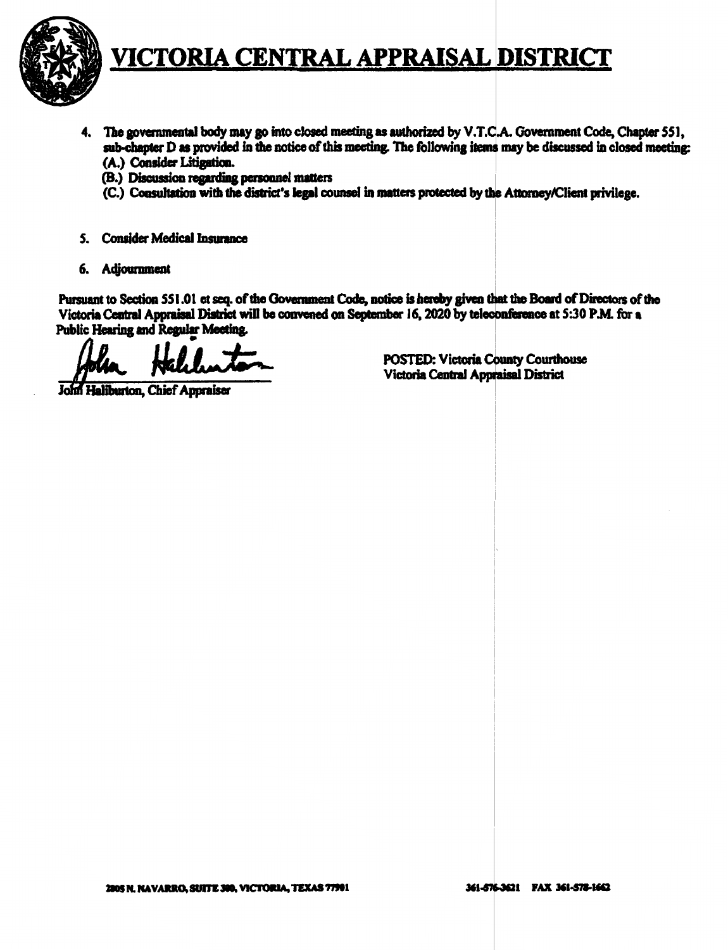

- 4. The governmental body may go into closed meeting as authorized by V.T.C.A. Government Code, Chapter 551, sub-chapter D as provided in the notice of this meeting. The following items may be discussed in closed meeting: (A.) Consider Litigation.
	- (B.) Discussion regarding personnel matters
	- (C.) Consultation with the district's legal counsel in matters protected by the Attorney/Client privilege.
- 5. Consider Medical Insurance
- 6. Adjournment

Pursuant to Section 551.01 et seq. of the Government Code, notice is hereby given that the Board of Directors of the Victoria Central Appraisal District will be convened on September 16, 2020 by teleconference at 5:30 P.M. for a Public Hearing and Regular Meeting.

John Haliburton, Chief Appraiser

**POSTED: Victoria County Courthouse** Victoria Central Appraisal District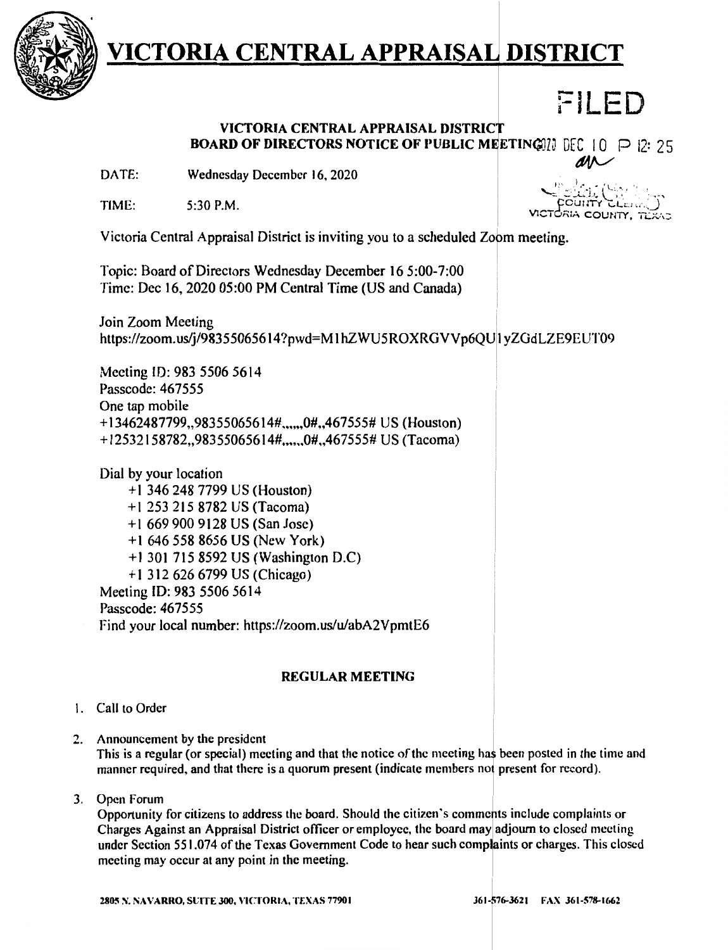

### FILED

### **VICTORIA CENTRAL APPRAISAL DISTRIC BOARD OF DIRECTORS NOTICE OF PUBLIC MEETING**[1] DEC 10 P 12: 25<br>DATE: Wednesday December 16, 2020

Wednesday December 16, 2020

TIME: 5:30 P.M.

1<u>dia: (S. 14.</u>  $\Gamma$  ( $\Gamma$  cullTr  $\Gamma$ ) 5IA COUNT

Victoria Central Appraisal District is inviting you to a scheduled zopm meeting.

Topic: Board of Directors Wednesday December 16 5:00-7:00 Time: Dec 16, 2020 05:00 PM Central Time (US and Canada)

Join Zoom Meeting https://zoom.us/j/983550656 l 4?pwd=M l hZWU5ROXRGVVp6QUI yZGdLZE9EUT09

Meeting ID: 983 5506 5614 Passcodc: 467555 One tap mobile + 13462487799,,983550656 l 4# .. .,,,0#,,467555# US (Houston) + 12532158782,,98355065614#,..,,,0#,,467555# US (Tacoma)

Dial by your location + l 346 248 7799 US (Houston) + I 253 215 8782 US (Tacoma) + I 669 900 9128 US (San Jose) +1 646 558 8656 US (New York) + 1 301 715 8592 US (Washington D.C) + l 312 626 6799 US (Chicago) Meeting ID: 983 5506 5614 Passcode: 467555 Find your local number: https://zoom.us/u/abA2VpmtE6

#### **REGULAR MEETING**

#### I. Call to Order

2. Announcement by the president

This is a regular (or special) meeting and that the notice of the meeting has been posted in the time and manner required, and that there is a quorum present (indicate members not present for record).

3. Open Forum

Opportunity for citizens to address the board. Should the citizen's comments include complaints or Charges Against an Appraisal District officer or employee, the board may adjourn to closed meeting under Section 551.074 of the Texas Government Code to hear such complaints or charges. This closed meeting may occur at any point in the meeting.